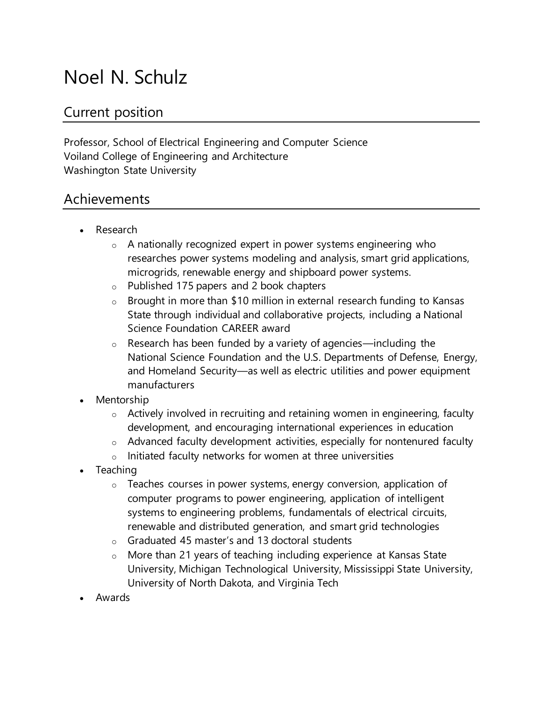# Noel N. Schulz

## Current position

Professor, School of Electrical Engineering and Computer Science Voiland College of Engineering and Architecture Washington State University

### Achievements

- Research
	- o A nationally recognized expert in power systems engineering who researches power systems modeling and analysis, smart grid applications, microgrids, renewable energy and shipboard power systems.
	- o Published 175 papers and 2 book chapters
	- o Brought in more than \$10 million in external research funding to Kansas State through individual and collaborative projects, including a National Science Foundation CAREER award
	- $\circ$  Research has been funded by a variety of agencies—including the National Science Foundation and the U.S. Departments of Defense, Energy, and Homeland Security—as well as electric utilities and power equipment manufacturers
- Mentorship
	- $\circ$  Actively involved in recruiting and retaining women in engineering, faculty development, and encouraging international experiences in education
	- $\circ$  Advanced faculty development activities, especially for nontenured faculty
	- $\circ$  Initiated faculty networks for women at three universities
- Teaching
	- $\circ$  Teaches courses in power systems, energy conversion, application of computer programs to power engineering, application of intelligent systems to engineering problems, fundamentals of electrical circuits, renewable and distributed generation, and smart grid technologies
	- o Graduated 45 master's and 13 doctoral students
	- o More than 21 years of teaching including experience at Kansas State University, Michigan Technological University, Mississippi State University, University of North Dakota, and Virginia Tech
- Awards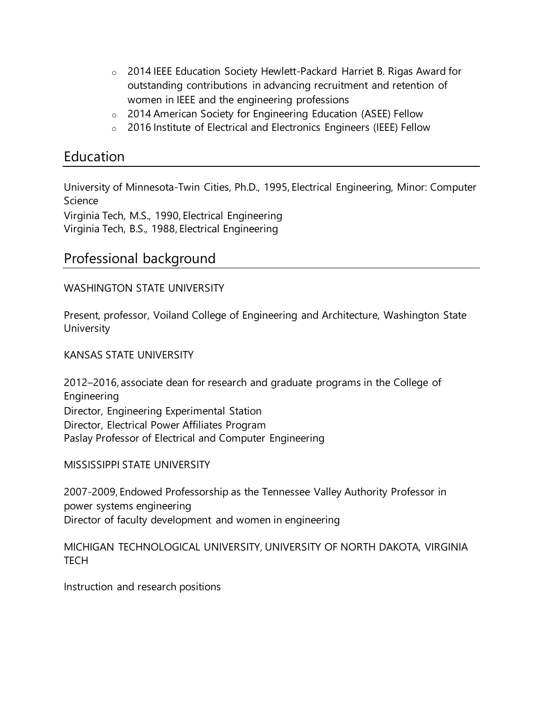- o 2014 IEEE Education Society Hewlett-Packard Harriet B. Rigas Award for outstanding contributions in advancing recruitment and retention of women in IEEE and the engineering professions
- o 2014 American Society for Engineering Education (ASEE) Fellow
- o 2016 Institute of Electrical and Electronics Engineers (IEEE) Fellow

## Education

University of Minnesota-Twin Cities, Ph.D., 1995, Electrical Engineering, Minor: Computer Science

Virginia Tech, M.S., 1990, Electrical Engineering Virginia Tech, B.S., 1988, Electrical Engineering

## Professional background

#### WASHINGTON STATE UNIVERSITY

Present, professor, Voiland College of Engineering and Architecture, Washington State **University** 

#### KANSAS STATE UNIVERSITY

2012–2016, associate dean for research and graduate programs in the College of Engineering Director, Engineering Experimental Station Director, Electrical Power Affiliates Program Paslay Professor of Electrical and Computer Engineering

MISSISSIPPI STATE UNIVERSITY

2007-2009, Endowed Professorship as the Tennessee Valley Authority Professor in power systems engineering Director of faculty development and women in engineering

#### MICHIGAN TECHNOLOGICAL UNIVERSITY, UNIVERSITY OF NORTH DAKOTA, VIRGINIA **TECH**

Instruction and research positions